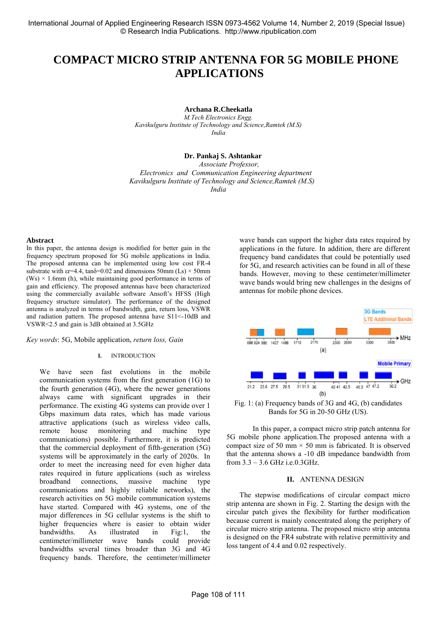# **COMPACT MICRO STRIP ANTENNA FOR 5G MOBILE PHONE APPLICATIONS**

**Archana R.Cheekatla**

*M.Tech Electronics Engg. Kavikulguru Institute of Technology and Science,Ramtek (M.S) India*

## **Dr. Pankaj S. Ashtankar**

 *Associate Professor, Electronics and Communication Engineering department Kavikulguru Institute of Technology and Science,Ramtek (M.S) India* 

## **Abstract**

In this paper, the antenna design is modified for better gain in the frequency spectrum proposed for 5G mobile applications in India. The proposed antenna can be implemented using low cost FR-4 substrate with  $\epsilon$ r=4.4, tan $\delta$ =0.02 and dimensions 50mm (Ls)  $\times$  50mm  $(Ws) \times 1.6$ mm (h), while maintaining good performance in terms of gain and efficiency. The proposed antennas have been characterized using the commercially available software Ansoft's HFSS (High frequency structure simulator). The performance of the designed antenna is analyzed in terms of bandwidth, gain, return loss, VSWR and radiation pattern. The proposed antenna have S11<-10dB and VSWR<2.5 and gain is 3dB obtained at 3.5GHz

*Key words*: 5G, Mobile application, *return loss, Gain* 

#### **I.** INTRODUCTION

We have seen fast evolutions in the mobile communication systems from the first generation (1G) to the fourth generation (4G), where the newer generations always came with significant upgrades in their performance. The existing 4G systems can provide over 1 Gbps maximum data rates, which has made various attractive applications (such as wireless video calls, remote house monitoring and machine type communications) possible. Furthermore, it is predicted that the commercial deployment of fifth-generation (5G) systems will be approximately in the early of 2020s. In order to meet the increasing need for even higher data rates required in future applications (such as wireless broadband connections, massive machine type communications and highly reliable networks), the research activities on 5G mobile communication systems have started. Compared with 4G systems, one of the major differences in 5G cellular systems is the shift to higher frequencies where is easier to obtain wider bandwidths. As illustrated in Fig:1, the centimeter/millimeter wave bands could provide bandwidths several times broader than 3G and 4G frequency bands. Therefore, the centimeter/millimeter

wave bands can support the higher data rates required by applications in the future. In addition, there are different frequency band candidates that could be potentially used for 5G, and research activities can be found in all of these bands. However, moving to these centimeter/millimeter wave bands would bring new challenges in the designs of antennas for mobile phone devices.



Fig. 1: (a) Frequency bands of 3G and 4G, (b) candidates Bands for 5G in 20-50 GHz (US).

In this paper, a compact micro strip patch antenna for 5G mobile phone application.The proposed antenna with a compact size of 50 mm  $\times$  50 mm is fabricated. It is observed that the antenna shows a -10 dB impedance bandwidth from from 3.3 – 3.6 GHz i.e.0.3GHz.

#### **II.** ANTENNA DESIGN

The stepwise modifications of circular compact micro strip antenna are shown in Fig. 2. Starting the design with the circular patch gives the flexibility for further modification because current is mainly concentrated along the periphery of circular micro strip antenna. The proposed micro strip antenna is designed on the FR4 substrate with relative permittivity and loss tangent of 4.4 and 0.02 respectively.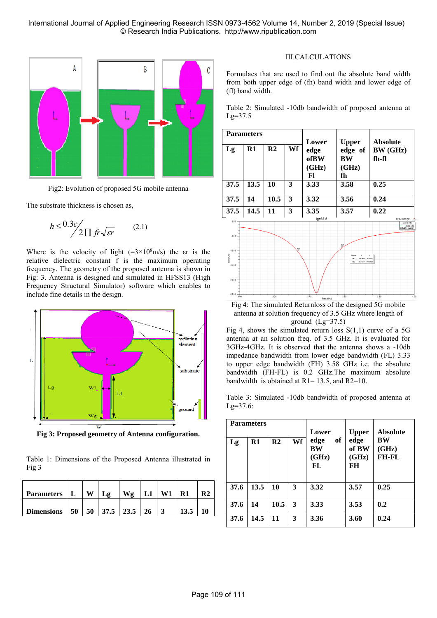International Journal of Applied Engineering Research ISSN 0973-4562 Volume 14, Number 2, 2019 (Special Issue) © Research India Publications. http://www.ripublication.com



Fig2: Evolution of proposed 5G mobile antenna

The substrate thickness is chosen as,

$$
h \le \frac{0.3c}{2\prod fr\sqrt{sr}} \qquad (2.1)
$$

Where is the velocity of light  $(=3 \times 10^8 \text{m/s})$  the  $\epsilon$ r is the relative dielectric constant f is the maximum operating frequency. The geometry of the proposed antenna is shown in Fig: 3. Antenna is designed and simulated in HFSS13 (High Frequency Structural Simulator) software which enables to include fine details in the design.



**Fig 3: Proposed geometry of Antenna configuration.**

Table 1: Dimensions of the Proposed Antenna illustrated in Fig 3

| Parameters        | $\mathbf{L}$ | w | .o | Wo                |    | R1 |  |
|-------------------|--------------|---|----|-------------------|----|----|--|
| <b>Dimensions</b> | 50           |   |    | $50$ 37.5 23.5 26 | -3 |    |  |

## III.CALCULATIONS

Formulaes that are used to find out the absolute band width from both upper edge of (fh) band width and lower edge of (fl) band width.





Fig 4: The simulated Returnloss of the designed 5G mobile antenna at solution frequency of 3.5 GHz where length of ground  $(Lg=37.5)$ 

Fig 4, shows the simulated return loss  $S(1,1)$  curve of a 5G antenna at an solution freq. of 3.5 GHz. It is evaluated for 3GHz-4GHz. It is observed that the antenna shows a -10db impedance bandwidth from lower edge bandwidth (FL) 3.33 to upper edge bandwidth (FH) 3.58 GHz i.e. the absolute bandwidth (FH-FL) is 0.2 GHz.The maximum absolute bandwidth is obtained at  $R1 = 13.5$ , and  $R2 = 10$ .

Table 3: Simulated -10db bandwidth of proposed antenna at Lg=37.6:

|      | <b>Parameters</b> |                |    | Lower<br>of<br>edge<br>BW<br>(GHz)<br>FL. | <b>Upper</b><br>edge<br>of BW<br>(GHz)<br>FH | <b>Absolute</b><br>BW<br>(GHz)<br>FH-FL |
|------|-------------------|----------------|----|-------------------------------------------|----------------------------------------------|-----------------------------------------|
| Lg   | $R1$              | R <sub>2</sub> | Wf |                                           |                                              |                                         |
| 37.6 | 13.5              | 10             | 3  | 3.32                                      | 3.57                                         | 0.25                                    |
| 37.6 | 14                | 10.5           | 3  | 3.33                                      | 3.53                                         | 0.2                                     |
| 37.6 | 14.5              | 11             | 3  | 3.36                                      | 3.60                                         | 0.24                                    |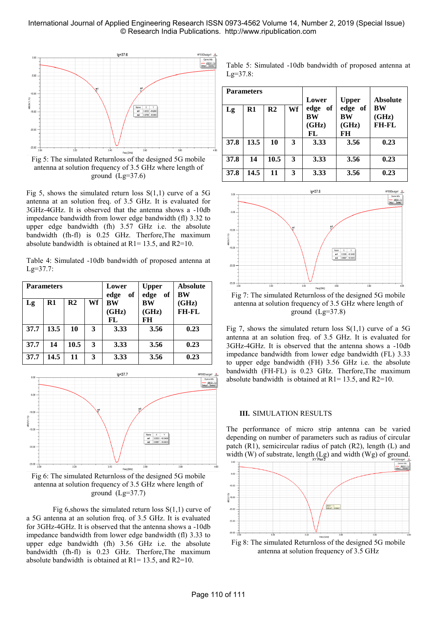## International Journal of Applied Engineering Research ISSN 0973-4562 Volume 14, Number 2, 2019 (Special Issue) © Research India Publications. http://www.ripublication.com



Fig 5: The simulated Returnloss of the designed 5G mobile antenna at solution frequency of 3.5 GHz where length of ground  $(Lg=37.6)$ 

Fig 5, shows the simulated return loss  $S(1,1)$  curve of a 5G antenna at an solution freq. of 3.5 GHz. It is evaluated for 3GHz-4GHz. It is observed that the antenna shows a -10db impedance bandwidth from lower edge bandwidth (fl) 3.32 to upper edge bandwidth (fh) 3.57 GHz i.e. the absolute bandwidth (fh-fl) is 0.25 GHz. Therfore,The maximum absolute bandwidth is obtained at  $R1 = 13.5$ , and  $R2=10$ .

Table 4: Simulated -10db bandwidth of proposed antenna at Lg=37.7:

| <b>Parameters</b> |               |                | Lower<br>edge<br>of | <b>Upper</b><br>edge of | <b>Absolute</b><br><b>BW</b> |                       |
|-------------------|---------------|----------------|---------------------|-------------------------|------------------------------|-----------------------|
| Lg                | $\mathbf{R}1$ | R <sub>2</sub> | Wf                  | <b>BW</b><br>(GHz)      | <b>BW</b><br>(GHz)           | (GHz)<br><b>FH-FL</b> |
|                   |               |                |                     | FL                      | FH                           |                       |
| 37.7              | 13.5          | 10             | 3                   | 3.33                    | 3.56                         | 0.23                  |
| 37.7              | 14            | 10.5           | 3                   | 3.33                    | 3.56                         | 0.23                  |
| 37.7              | 14.5          | 11             | 3                   | 3.33                    | 3.56                         | 0.23                  |



Fig 6: The simulated Returnloss of the designed 5G mobile antenna at solution frequency of 3.5 GHz where length of ground  $(Lg=37.7)$ 

Fig 6, shows the simulated return loss  $S(1,1)$  curve of a 5G antenna at an solution freq. of 3.5 GHz. It is evaluated for 3GHz-4GHz. It is observed that the antenna shows a -10db impedance bandwidth from lower edge bandwidth (fl) 3.33 to upper edge bandwidth (fh) 3.56 GHz i.e. the absolute bandwidth (fh-fl) is 0.23 GHz. Therfore,The maximum absolute bandwidth is obtained at  $R1 = 13.5$ , and  $R2=10$ .

Table 5: Simulated -10db bandwidth of proposed antenna at  $Lg=37.8$ :

|      | <b>Parameters</b> |                |    |            |              |                 |
|------|-------------------|----------------|----|------------|--------------|-----------------|
|      |                   |                |    | Lower      | <b>Upper</b> | <b>Absolute</b> |
| Lg   | $\mathbf{R}1$     | R <sub>2</sub> | Wf | edge<br>of | edge of      | <b>BW</b>       |
|      |                   |                |    | BW         | BW           | (GHz)           |
|      |                   |                |    | (GHz)      | (GHz)        | <b>FH-FL</b>    |
|      |                   |                |    | FL         | FH           |                 |
| 37.8 | 13.5              | 10             | 3  | 3.33       | 3.56         | 0.23            |
|      |                   |                |    |            |              |                 |
| 37.8 | 14                | 10.5           | 3  | 3.33       | 3.56         | 0.23            |
|      |                   |                |    |            |              |                 |
| 37.8 | 14.5              | 11             | 3  | 3.33       | 3.56         | 0.23            |
|      |                   |                |    |            |              |                 |



Fig 7: The simulated Returnloss of the designed 5G mobile antenna at solution frequency of 3.5 GHz where length of ground  $(Lg=37.8)$ 

Fig 7, shows the simulated return loss  $S(1,1)$  curve of a 5G antenna at an solution freq. of 3.5 GHz. It is evaluated for 3GHz-4GHz. It is observed that the antenna shows a -10db impedance bandwidth from lower edge bandwidth (FL) 3.33 to upper edge bandwidth (FH) 3.56 GHz i.e. the absolute bandwidth (FH-FL) is 0.23 GHz. Therfore,The maximum absolute bandwidth is obtained at  $R1 = 13.5$ , and  $R2=10$ .

#### **III.** SIMULATION RESULTS

The performance of micro strip antenna can be varied depending on number of parameters such as radius of circular patch (R1), semicircular radius of patch (R2), length (L) and width (W) of substrate, length (Lg) and width (Wg) of ground.